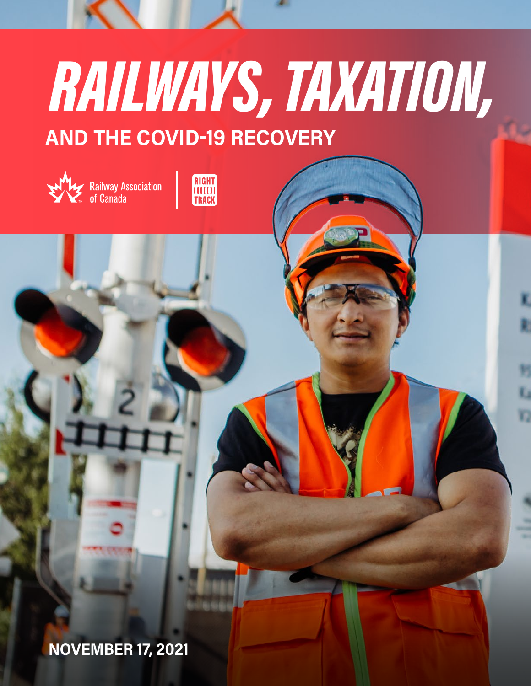# RAILWAYS, TAXATION, AND THE COVID-19 RECOVERY





NOVEMBER 17, 2021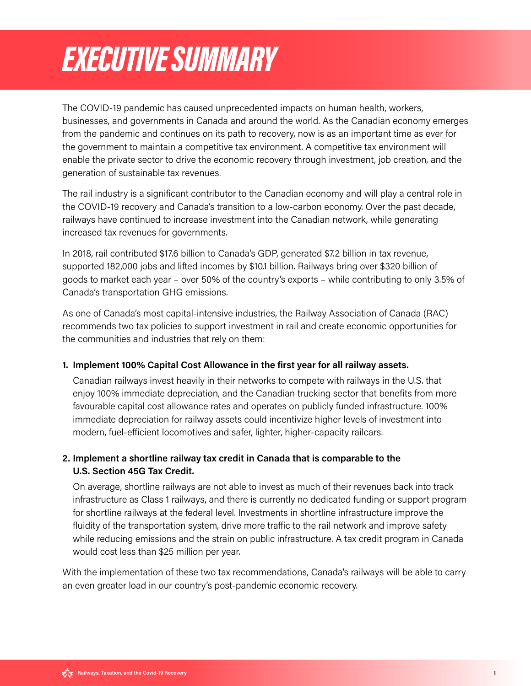## <span id="page-1-0"></span>EXECUTIVE SUMMARY

The COVID-19 pandemic has caused unprecedented impacts on human health, workers, businesses, and governments in Canada and around the world. As the Canadian economy emerges from the pandemic and continues on its path to recovery, now is as an important time as ever for the government to maintain a competitive tax environment. A competitive tax environment will enable the private sector to drive the economic recovery through investment, job creation, and the generation of sustainable tax revenues.

The rail industry is a significant contributor to the Canadian economy and will play a central role in the COVID-19 recovery and Canada's transition to a low-carbon economy. Over the past decade, railways have continued to increase investment into the Canadian network, while generating increased tax revenues for governments.

In 2018, rail contributed \$17.6 billion to Canada's GDP, generated \$7.2 billion in tax revenue, supported 182,000 jobs and lifted incomes by \$10.1 billion. Railways bring over \$320 billion of goods to market each year – over 50% of the country's exports – while contributing to only 3.5% of Canada's transportation GHG emissions.

As one of Canada's most capital-intensive industries, the Railway Association of Canada (RAC) recommends two tax policies to support investment in rail and create economic opportunities for the communities and industries that rely on them:

#### 1. Implement 100% Capital Cost Allowance in the first year for all railway assets.

 Canadian railways invest heavily in their networks to compete with railways in the U.S. that enjoy 100% immediate depreciation, and the Canadian trucking sector that benefits from more favourable capital cost allowance rates and operates on publicly funded infrastructure. 100% immediate depreciation for railway assets could incentivize higher levels of investment into modern, fuel-efficient locomotives and safer, lighter, higher-capacity railcars.

#### 2. Implement a shortline railway tax credit in Canada that is comparable to the U.S. Section 45G Tax Credit.

 On average, shortline railways are not able to invest as much of their revenues back into track infrastructure as Class 1 railways, and there is currently no dedicated funding or support program for shortline railways at the federal level. Investments in shortline infrastructure improve the fluidity of the transportation system, drive more traffic to the rail network and improve safety while reducing emissions and the strain on public infrastructure. A tax credit program in Canada would cost less than \$25 million per year.

With the implementation of these two tax recommendations, Canada's railways will be able to carry an even greater load in our country's post-pandemic economic recovery.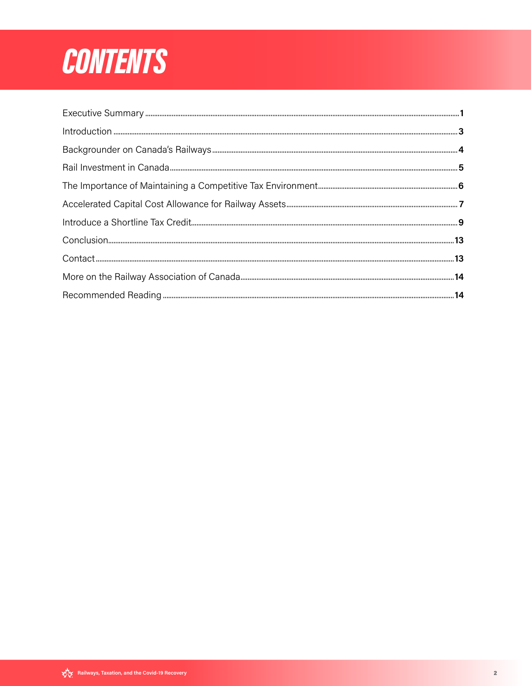## **CONTENTS**

| $\text{Context}\tiny\color{red}.\tiny\color{red}\tiny\color{red}\tiny\color{red}\tiny\color{green}\tiny\color{green}\tiny\color{green}\tiny\color{green}\tiny\color{green}\tiny\color{green}\tiny\color{green}\tiny\color{green}\tiny\color{green}\tiny\color{green}\tiny\color{green}\tiny\color{green}\tiny\color{green}\tiny\color{green}\tiny\color{green}13$ |  |
|-------------------------------------------------------------------------------------------------------------------------------------------------------------------------------------------------------------------------------------------------------------------------------------------------------------------------------------------------------------------|--|
|                                                                                                                                                                                                                                                                                                                                                                   |  |
|                                                                                                                                                                                                                                                                                                                                                                   |  |
|                                                                                                                                                                                                                                                                                                                                                                   |  |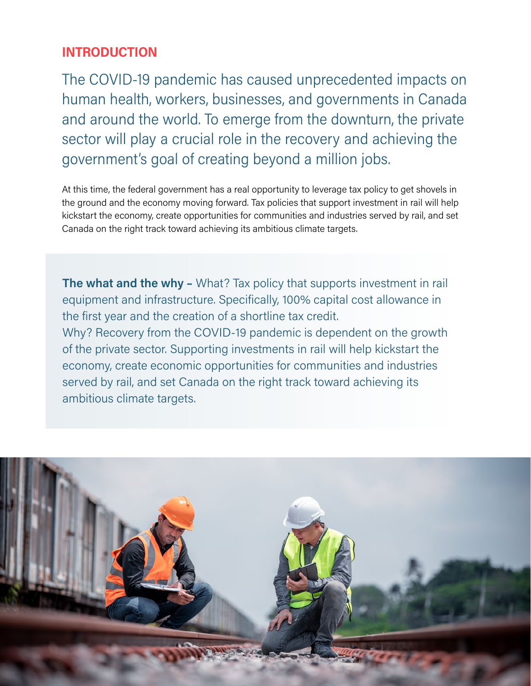## <span id="page-3-0"></span>INTRODUCTION

The COVID-19 pandemic has caused unprecedented impacts on human health, workers, businesses, and governments in Canada and around the world. To emerge from the downturn, the private sector will play a crucial role in the recovery and achieving the government's goal of creating beyond a million jobs.

At this time, the federal government has a real opportunity to leverage tax policy to get shovels in the ground and the economy moving forward. Tax policies that support investment in rail will help kickstart the economy, create opportunities for communities and industries served by rail, and set Canada on the right track toward achieving its ambitious climate targets.

The what and the why - What? Tax policy that supports investment in rail equipment and infrastructure. Specifically, 100% capital cost allowance in the first year and the creation of a shortline tax credit. Why? Recovery from the COVID-19 pandemic is dependent on the growth of the private sector. Supporting investments in rail will help kickstart the economy, create economic opportunities for communities and industries served by rail, and set Canada on the right track toward achieving its ambitious climate targets.

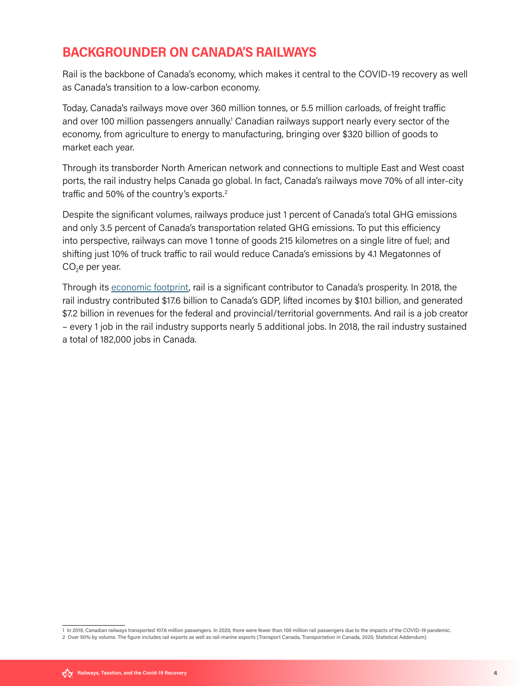## <span id="page-4-0"></span>BACKGROUNDER ON CANADA'S RAILWAYS

Rail is the backbone of Canada's economy, which makes it central to the COVID-19 recovery as well as Canada's transition to a low-carbon economy.

Today, Canada's railways move over 360 million tonnes, or 5.5 million carloads, of freight traffic and over 100 million passengers annually.<sup>1</sup> Canadian railways support nearly every sector of the economy, from agriculture to energy to manufacturing, bringing over \$320 billion of goods to market each year.

Through its transborder North American network and connections to multiple East and West coast ports, the rail industry helps Canada go global. In fact, Canada's railways move 70% of all inter-city traffic and 50% of the country's exports.2

Despite the significant volumes, railways produce just 1 percent of Canada's total GHG emissions and only 3.5 percent of Canada's transportation related GHG emissions. To put this efficiency into perspective, railways can move 1 tonne of goods 215 kilometres on a single litre of fuel; and shifting just 10% of truck traffic to rail would reduce Canada's emissions by 4.1 Megatonnes of  $CO<sub>2</sub>e$  per year.

Through its [economic footprint,](https://www.railcan.ca/wp-content/uploads/2020/05/10683_The-Economic-Footprint-of-Canadas-Rail-Industry_IP.pdf) rail is a significant contributor to Canada's prosperity. In 2018, the rail industry contributed \$17.6 billion to Canada's GDP, lifted incomes by \$10.1 billion, and generated \$7.2 billion in revenues for the federal and provincial/territorial governments. And rail is a job creator – every 1 job in the rail industry supports nearly 5 additional jobs. In 2018, the rail industry sustained a total of 182,000 jobs in Canada.

<sup>1</sup> In 2019, Canadian railways transported 107.6 million passengers. In 2020, there were fewer than 100 million rail passengers due to the impacts of the COVID-19 pandemic.

<sup>2</sup> Over 50% by volume. The figure includes rail exports as well as rail-marine exports (Transport Canada, Transportation in Canada, 2020, Statistical Addendum).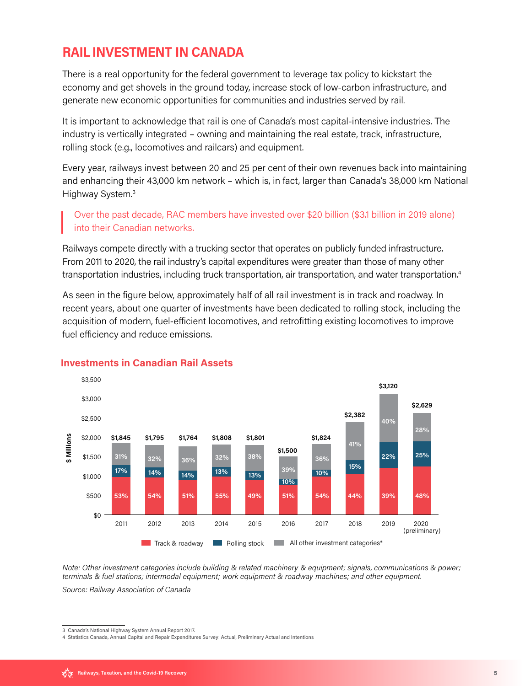## <span id="page-5-0"></span>RAIL INVESTMENT IN CANADA

There is a real opportunity for the federal government to leverage tax policy to kickstart the economy and get shovels in the ground today, increase stock of low-carbon infrastructure, and generate new economic opportunities for communities and industries served by rail.

It is important to acknowledge that rail is one of Canada's most capital-intensive industries. The industry is vertically integrated – owning and maintaining the real estate, track, infrastructure, rolling stock (e.g., locomotives and railcars) and equipment.

Every year, railways invest between 20 and 25 per cent of their own revenues back into maintaining and enhancing their 43,000 km network – which is, in fact, larger than Canada's 38,000 km National Highway System.3

Over the past decade, RAC members have invested over \$20 billion (\$3.1 billion in 2019 alone) into their Canadian networks.

Railways compete directly with a trucking sector that operates on publicly funded infrastructure. From 2011 to 2020, the rail industry's capital expenditures were greater than those of many other transportation industries, including truck transportation, air transportation, and water transportation.4

As seen in the figure below, approximately half of all rail investment is in track and roadway. In recent years, about one quarter of investments have been dedicated to rolling stock, including the acquisition of modern, fuel-efficient locomotives, and retrofitting existing locomotives to improve fuel efficiency and reduce emissions.



### **Investments in Canadian Rail Assets**

Note: Other investment categories include building & related machinery & equipment; signals, communications & power; terminals & fuel stations; intermodal equipment; work equipment & roadway machines; and other equipment.

Source: Railway Association of Canada

<sup>3</sup> Canada's National Highway System Annual Report 2017.

<sup>4</sup> Statistics Canada, Annual Capital and Repair Expenditures Survey: Actual, Preliminary Actual and Intentions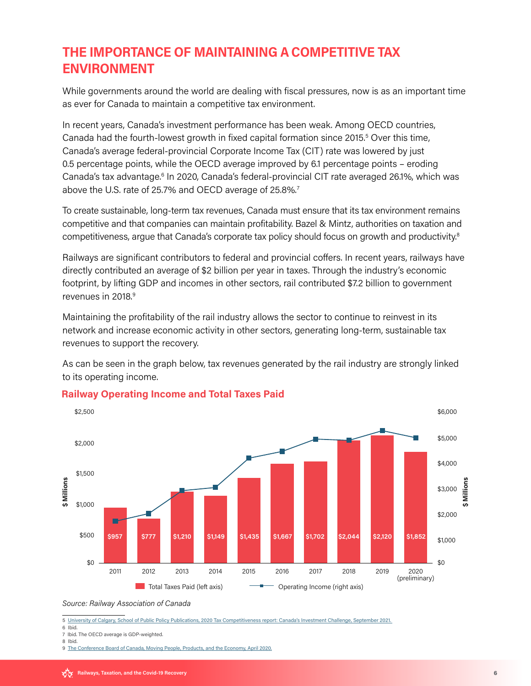## <span id="page-6-0"></span>THE IMPORTANCE OF MAINTAINING A COMPETITIVE TAX ENVIRONMENT

While governments around the world are dealing with fiscal pressures, now is as an important time as ever for Canada to maintain a competitive tax environment.

In recent years, Canada's investment performance has been weak. Among OECD countries, Canada had the fourth-lowest growth in fixed capital formation since 2015.<sup>5</sup> Over this time, Canada's average federal-provincial Corporate Income Tax (CIT) rate was lowered by just 0.5 percentage points, while the OECD average improved by 6.1 percentage points – eroding Canada's tax advantage.<sup>6</sup> In 2020, Canada's federal-provincial CIT rate averaged 26.1%, which was above the U.S. rate of 25.7% and OECD average of 25.8%.<sup>7</sup>

To create sustainable, long-term tax revenues, Canada must ensure that its tax environment remains competitive and that companies can maintain profitability. Bazel & Mintz, authorities on taxation and competitiveness, argue that Canada's corporate tax policy should focus on growth and productivity.<sup>8</sup>

Railways are significant contributors to federal and provincial coffers. In recent years, railways have directly contributed an average of \$2 billion per year in taxes. Through the industry's economic footprint, by lifting GDP and incomes in other sectors, rail contributed \$7.2 billion to government revenues in 2018.<sup>9</sup>

Maintaining the profitability of the rail industry allows the sector to continue to reinvest in its network and increase economic activity in other sectors, generating long-term, sustainable tax revenues to support the recovery.

As can be seen in the graph below, tax revenues generated by the rail industry are strongly linked to its operating income.



#### **Railway Operating Income and Total Taxes Paid**

Source: Railway Association of Canada

5 University of Calgary, School of Public Policy Publications, 2020 Tax [Competitiveness](https://journalhosting.ucalgary.ca/index.php/sppp/article/view/72311) report: Canada's Investment Challenge, September 2021.

6 Ibid. 7 Ibid. The OECD average is GDP-weighted.

8 Ibid.

9 The [Conference](https://www.railcan.ca/wp-content/uploads/2020/05/10683_The-Economic-Footprint-of-Canadas-Rail-Industry_IP.pdf) Board of Canada, Moving People, Products, and the Economy, April 2020.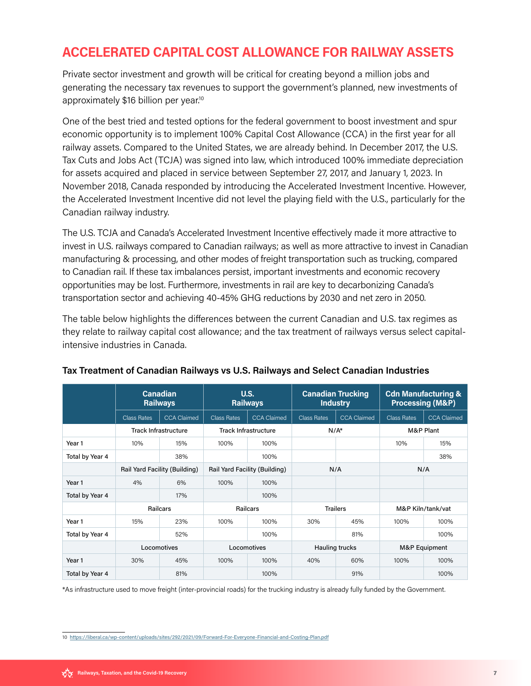## <span id="page-7-0"></span>ACCELERATED CAPITAL COST ALLOWANCE FOR RAILWAY ASSETS

Private sector investment and growth will be critical for creating beyond a million jobs and generating the necessary tax revenues to support the government's planned, new investments of approximately \$16 billion per year.10

One of the best tried and tested options for the federal government to boost investment and spur economic opportunity is to implement 100% Capital Cost Allowance (CCA) in the first year for all railway assets. Compared to the United States, we are already behind. In December 2017, the U.S. Tax Cuts and Jobs Act (TCJA) was signed into law, which introduced 100% immediate depreciation for assets acquired and placed in service between September 27, 2017, and January 1, 2023. In November 2018, Canada responded by introducing the Accelerated Investment Incentive. However, the Accelerated Investment Incentive did not level the playing field with the U.S., particularly for the Canadian railway industry.

The U.S. TCJA and Canada's Accelerated Investment Incentive effectively made it more attractive to invest in U.S. railways compared to Canadian railways; as well as more attractive to invest in Canadian manufacturing & processing, and other modes of freight transportation such as trucking, compared to Canadian rail. If these tax imbalances persist, important investments and economic recovery opportunities may be lost. Furthermore, investments in rail are key to decarbonizing Canada's transportation sector and achieving 40-45% GHG reductions by 2030 and net zero in 2050.

The table below highlights the differences between the current Canadian and U.S. tax regimes as they relate to railway capital cost allowance; and the tax treatment of railways versus select capitalintensive industries in Canada.

|                   | <b>Canadian</b><br><b>Railways</b> |                    | U.S.<br><b>Railways</b>       |                    | <b>Canadian Trucking</b><br><b>Industry</b> |                    | <b>Cdn Manufacturing &amp;</b><br><b>Processing (M&amp;P)</b> |                    |
|-------------------|------------------------------------|--------------------|-------------------------------|--------------------|---------------------------------------------|--------------------|---------------------------------------------------------------|--------------------|
|                   | <b>Class Rates</b>                 | <b>CCA Claimed</b> | <b>Class Rates</b>            | <b>CCA Claimed</b> | <b>Class Rates</b>                          | <b>CCA Claimed</b> | <b>Class Rates</b>                                            | <b>CCA Claimed</b> |
|                   | <b>Track Infrastructure</b>        |                    | <b>Track Infrastructure</b>   |                    | $N/A^*$                                     |                    | M&P Plant                                                     |                    |
| Year <sub>1</sub> | 10%                                | 15%                | 100%                          | 100%               |                                             |                    | 10%                                                           | 15%                |
| Total by Year 4   |                                    | 38%                |                               | 100%               |                                             |                    |                                                               | 38%                |
|                   | Rail Yard Facility (Building)      |                    | Rail Yard Facility (Building) |                    | N/A                                         |                    | N/A                                                           |                    |
| Year 1            | 4%                                 | 6%                 | 100%                          | 100%               |                                             |                    |                                                               |                    |
| Total by Year 4   |                                    | 17%                |                               | 100%               |                                             |                    |                                                               |                    |
|                   | <b>Railcars</b>                    |                    | <b>Railcars</b>               |                    | <b>Trailers</b>                             |                    | M&P Kiln/tank/vat                                             |                    |
| Year <sub>1</sub> | 15%                                | 23%                | 100%                          | 100%               | 30%                                         | 45%                | 100%                                                          | 100%               |
| Total by Year 4   |                                    | 52%                |                               | 100%               |                                             | 81%                |                                                               | 100%               |
|                   | Locomotives                        |                    | Locomotives                   |                    | <b>Hauling trucks</b>                       |                    | M&P Equipment                                                 |                    |
| Year 1            | 30%                                | 45%                | 100%                          | 100%               | 40%                                         | 60%                | 100%                                                          | 100%               |
| Total by Year 4   |                                    | 81%                |                               | 100%               |                                             | 91%                |                                                               | 100%               |

#### Tax Treatment of Canadian Railways vs U.S. Railways and Select Canadian Industries

\*As infrastructure used to move freight (inter-provincial roads) for the trucking industry is already fully funded by the Government.

<sup>10</sup>  <https://liberal.ca/wp-content/uploads/sites/292/2021/09/Forward-For-Everyone-Financial-and-Costing-Plan.pdf>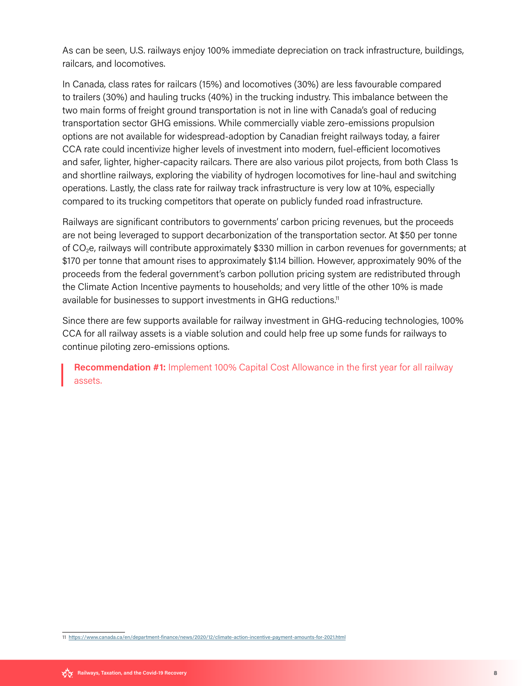As can be seen, U.S. railways enjoy 100% immediate depreciation on track infrastructure, buildings, railcars, and locomotives.

In Canada, class rates for railcars (15%) and locomotives (30%) are less favourable compared to trailers (30%) and hauling trucks (40%) in the trucking industry. This imbalance between the two main forms of freight ground transportation is not in line with Canada's goal of reducing transportation sector GHG emissions. While commercially viable zero-emissions propulsion options are not available for widespread-adoption by Canadian freight railways today, a fairer CCA rate could incentivize higher levels of investment into modern, fuel-efficient locomotives and safer, lighter, higher-capacity railcars. There are also various pilot projects, from both Class 1s and shortline railways, exploring the viability of hydrogen locomotives for line-haul and switching operations. Lastly, the class rate for railway track infrastructure is very low at 10%, especially compared to its trucking competitors that operate on publicly funded road infrastructure.

Railways are significant contributors to governments' carbon pricing revenues, but the proceeds are not being leveraged to support decarbonization of the transportation sector. At \$50 per tonne of CO2e, railways will contribute approximately \$330 million in carbon revenues for governments; at \$170 per tonne that amount rises to approximately \$1.14 billion. However, approximately 90% of the proceeds from the federal government's carbon pollution pricing system are redistributed through the Climate Action Incentive payments to households; and very little of the other 10% is made available for businesses to support investments in GHG reductions.<sup>11</sup>

Since there are few supports available for railway investment in GHG-reducing technologies, 100% CCA for all railway assets is a viable solution and could help free up some funds for railways to continue piloting zero-emissions options.

Recommendation #1: Implement 100% Capital Cost Allowance in the first year for all railway assets.

11 <https://www.canada.ca/en/department-finance/news/2020/12/climate-action-incentive-payment-amounts-for-2021.html>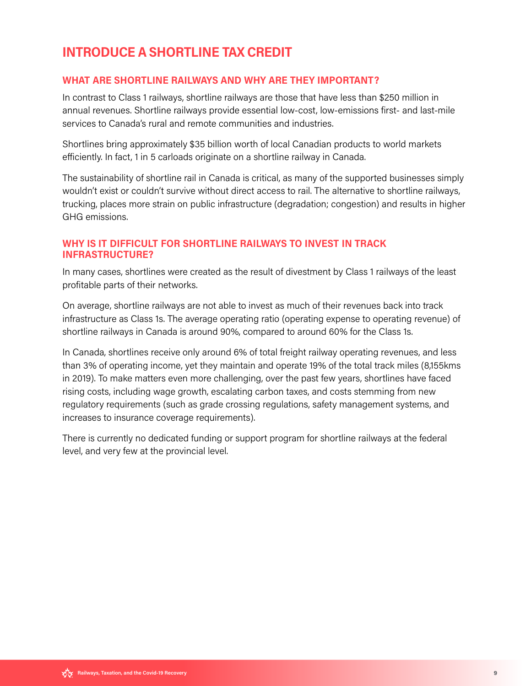## <span id="page-9-0"></span>INTRODUCE A SHORTLINE TAX CREDIT

#### WHAT ARE SHORTLINE RAILWAYS AND WHY ARE THEY IMPORTANT?

In contrast to Class 1 railways, shortline railways are those that have less than \$250 million in annual revenues. Shortline railways provide essential low-cost, low-emissions first- and last-mile services to Canada's rural and remote communities and industries.

Shortlines bring approximately \$35 billion worth of local Canadian products to world markets efficiently. In fact, 1 in 5 carloads originate on a shortline railway in Canada.

The sustainability of shortline rail in Canada is critical, as many of the supported businesses simply wouldn't exist or couldn't survive without direct access to rail. The alternative to shortline railways, trucking, places more strain on public infrastructure (degradation; congestion) and results in higher GHG emissions.

#### WHY IS IT DIFFICULT FOR SHORTLINE RAILWAYS TO INVEST IN TRACK INFRASTRUCTURE?

In many cases, shortlines were created as the result of divestment by Class 1 railways of the least profitable parts of their networks.

On average, shortline railways are not able to invest as much of their revenues back into track infrastructure as Class 1s. The average operating ratio (operating expense to operating revenue) of shortline railways in Canada is around 90%, compared to around 60% for the Class 1s.

In Canada, shortlines receive only around 6% of total freight railway operating revenues, and less than 3% of operating income, yet they maintain and operate 19% of the total track miles (8,155kms in 2019). To make matters even more challenging, over the past few years, shortlines have faced rising costs, including wage growth, escalating carbon taxes, and costs stemming from new regulatory requirements (such as grade crossing regulations, safety management systems, and increases to insurance coverage requirements).

There is currently no dedicated funding or support program for shortline railways at the federal level, and very few at the provincial level.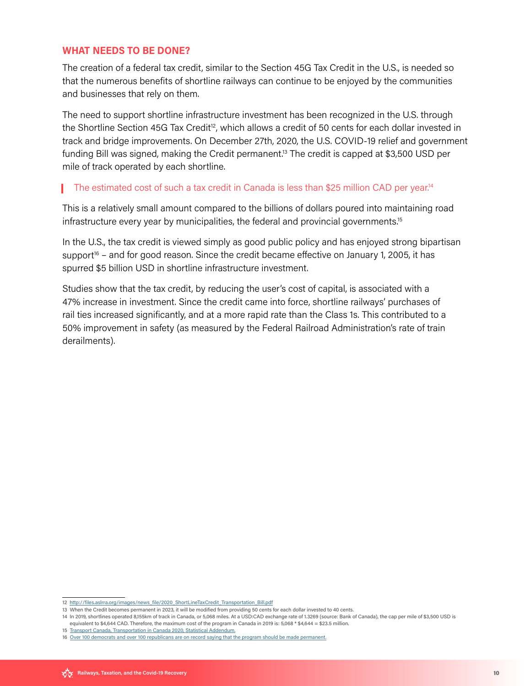#### WHAT NEEDS TO BE DONE?

The creation of a federal tax credit, similar to the Section 45G Tax Credit in the U.S., is needed so that the numerous benefits of shortline railways can continue to be enjoyed by the communities and businesses that rely on them.

The need to support shortline infrastructure investment has been recognized in the U.S. through the Shortline Section 45G Tax Credit<sup>12</sup>, which allows a credit of 50 cents for each dollar invested in track and bridge improvements. On December 27th, 2020, the U.S. COVID-19 relief and government funding Bill was signed, making the Credit permanent.<sup>13</sup> The credit is capped at \$3,500 USD per mile of track operated by each shortline.

#### The estimated cost of such a tax credit in Canada is less than \$25 million CAD per year.<sup>14</sup>

This is a relatively small amount compared to the billions of dollars poured into maintaining road infrastructure every year by municipalities, the federal and provincial governments.15

In the U.S., the tax credit is viewed simply as good public policy and has enjoyed strong bipartisan support<sup>16</sup> – and for good reason. Since the credit became effective on January 1, 2005, it has spurred \$5 billion USD in shortline infrastructure investment.

Studies show that the tax credit, by reducing the user's cost of capital, is associated with a 47% increase in investment. Since the credit came into force, shortline railways' purchases of rail ties increased significantly, and at a more rapid rate than the Class 1s. This contributed to a 50% improvement in safety (as measured by the Federal Railroad Administration's rate of train derailments).

<sup>12</sup>  [http://files.aslrra.org/images/news](http://files.aslrra.org/images/news_file/2020_ShortLineTaxCredit_Transportation_Bill.pdf)**\_**file/2020**\_**ShortLineTaxCredit**\_**Transportation**\_**Bill.pdf

<sup>13</sup> When the Credit becomes permanent in 2023, it will be modified from providing 50 cents for each dollar invested to 40 cents.

<sup>14</sup>  In 2019, shortlines operated 8,155km of track in Canada, or 5,068 miles. At a USD:CAD exchange rate of 1.3269 (source: Bank of Canada), the cap per mile of \$3,500 USD is equivalent to \$4,644 CAD. Therefore, the maximum cost of the program in Canada in 2019 is: 5,068 \* \$4,644 = \$23.5 million.

<sup>15</sup> Transport Canada, [Transportation](https://tc.canada.ca/en/corporate-services/transparency/corporate-management-reporting/transportation-canada-annual-reports/transportation-canada-2020-overview-report) in Canada 2020, Statistical Addendum.

<sup>16</sup>  Over 100 democrats and over 100 [republicans](https://www.railwayage.com/freight/class-i/45g-tax-credit-gaining-support/) are on record saying that the program should be made permanent.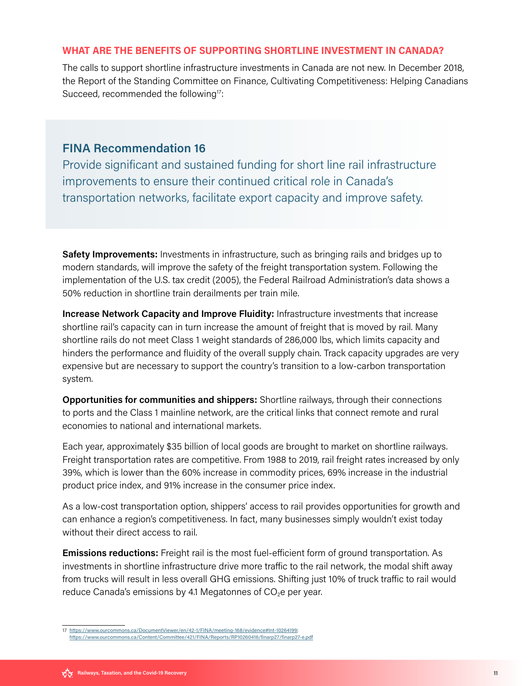#### WHAT ARE THE BENEFITS OF SUPPORTING SHORTLINE INVESTMENT IN CANADA?

The calls to support shortline infrastructure investments in Canada are not new. In December 2018, the Report of the Standing Committee on Finance, Cultivating Competitiveness: Helping Canadians Succeed, recommended the following<sup>17</sup>:

#### FINA Recommendation 16

Provide significant and sustained funding for short line rail infrastructure improvements to ensure their continued critical role in Canada's transportation networks, facilitate export capacity and improve safety.

**Safety Improvements:** Investments in infrastructure, such as bringing rails and bridges up to modern standards, will improve the safety of the freight transportation system. Following the implementation of the U.S. tax credit (2005), the Federal Railroad Administration's data shows a 50% reduction in shortline train derailments per train mile.

Increase Network Capacity and Improve Fluidity: Infrastructure investments that increase shortline rail's capacity can in turn increase the amount of freight that is moved by rail. Many shortline rails do not meet Class 1 weight standards of 286,000 lbs, which limits capacity and hinders the performance and fluidity of the overall supply chain. Track capacity upgrades are very expensive but are necessary to support the country's transition to a low-carbon transportation system.

Opportunities for communities and shippers: Shortline railways, through their connections to ports and the Class 1 mainline network, are the critical links that connect remote and rural economies to national and international markets.

Each year, approximately \$35 billion of local goods are brought to market on shortline railways. Freight transportation rates are competitive. From 1988 to 2019, rail freight rates increased by only 39%, which is lower than the 60% increase in commodity prices, 69% increase in the industrial product price index, and 91% increase in the consumer price index.

As a low-cost transportation option, shippers' access to rail provides opportunities for growth and can enhance a region's competitiveness. In fact, many businesses simply wouldn't exist today without their direct access to rail.

**Emissions reductions:** Freight rail is the most fuel-efficient form of ground transportation. As investments in shortline infrastructure drive more traffic to the rail network, the modal shift away from trucks will result in less overall GHG emissions. Shifting just 10% of truck traffic to rail would reduce Canada's emissions by 4.1 Megatonnes of  $CO<sub>2</sub>e$  per year.

<sup>17</sup>  [https://www.ourcommons.ca/DocumentViewer/en/42-1/FINA/meeting-168/evidence#Int-10264199;](https://www.ourcommons.ca/DocumentViewer/en/42-1/FINA/meeting-168/evidence#Int-10264199) <https://www.ourcommons.ca/Content/Committee/421/FINA/Reports/RP10260416/finarp27/finarp27-e.pdf>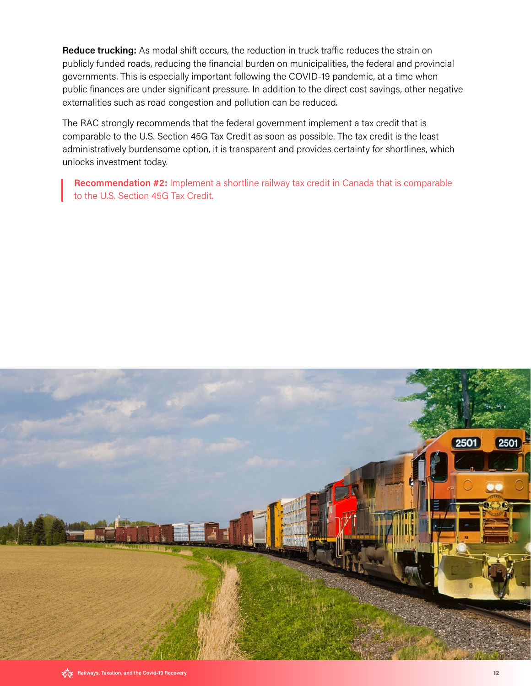Reduce trucking: As modal shift occurs, the reduction in truck traffic reduces the strain on publicly funded roads, reducing the financial burden on municipalities, the federal and provincial governments. This is especially important following the COVID-19 pandemic, at a time when public finances are under significant pressure. In addition to the direct cost savings, other negative externalities such as road congestion and pollution can be reduced.

The RAC strongly recommends that the federal government implement a tax credit that is comparable to the U.S. Section 45G Tax Credit as soon as possible. The tax credit is the least administratively burdensome option, it is transparent and provides certainty for shortlines, which unlocks investment today.

Recommendation #2: Implement a shortline railway tax credit in Canada that is comparable to the U.S. Section 45G Tax Credit.

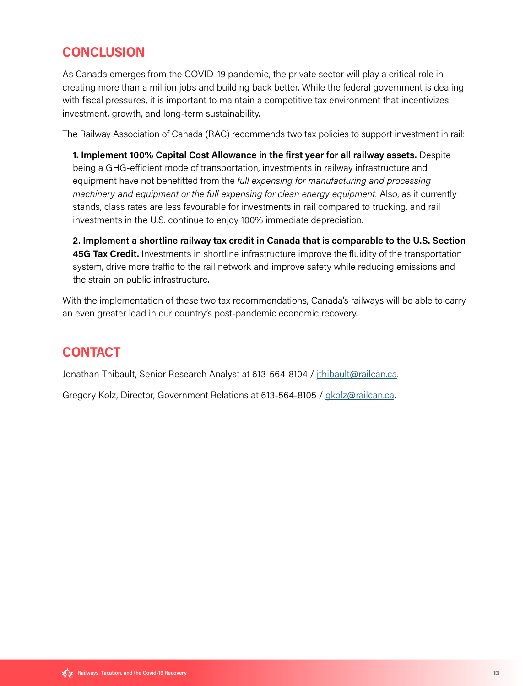## <span id="page-13-0"></span>**CONCLUSION**

As Canada emerges from the COVID-19 pandemic, the private sector will play a critical role in creating more than a million jobs and building back better. While the federal government is dealing with fiscal pressures, it is important to maintain a competitive tax environment that incentivizes investment, growth, and long-term sustainability.

The Railway Association of Canada (RAC) recommends two tax policies to support investment in rail:

 1. Implement 100% Capital Cost Allowance in the first year for all railway assets. Despite being a GHG-efficient mode of transportation, investments in railway infrastructure and equipment have not benefitted from the full expensing for manufacturing and processing machinery and equipment or the full expensing for clean energy equipment. Also, as it currently stands, class rates are less favourable for investments in rail compared to trucking, and rail investments in the U.S. continue to enjoy 100% immediate depreciation.

 2. Implement a shortline railway tax credit in Canada that is comparable to the U.S. Section 45G Tax Credit. Investments in shortline infrastructure improve the fluidity of the transportation system, drive more traffic to the rail network and improve safety while reducing emissions and the strain on public infrastructure.

With the implementation of these two tax recommendations, Canada's railways will be able to carry an even greater load in our country's post-pandemic economic recovery.

### **CONTACT**

Jonathan Thibault, Senior Research Analyst at 613-564-8104 / jthibault@railcan.ca.

Gregory Kolz, Director, Government Relations at 613-564-8105 / gkolz@railcan.ca.